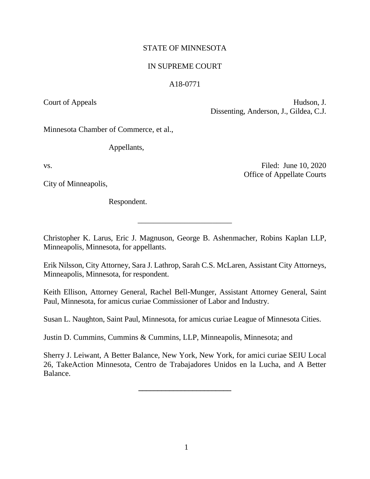# STATE OF MINNESOTA

# IN SUPREME COURT

# A18-0771

Court of Appeals Hudson, J.

Dissenting, Anderson, J., Gildea, C.J.

Office of Appellate Courts

Minnesota Chamber of Commerce, et al.,

Appellants,

vs. Filed: June 10, 2020

City of Minneapolis,

Respondent.

Christopher K. Larus, Eric J. Magnuson, George B. Ashenmacher, Robins Kaplan LLP, Minneapolis, Minnesota, for appellants.

\_\_\_\_\_\_\_\_\_\_\_\_\_\_\_\_\_\_\_\_\_\_\_\_

Erik Nilsson, City Attorney, Sara J. Lathrop, Sarah C.S. McLaren, Assistant City Attorneys, Minneapolis, Minnesota, for respondent.

Keith Ellison, Attorney General, Rachel Bell-Munger, Assistant Attorney General, Saint Paul, Minnesota, for amicus curiae Commissioner of Labor and Industry.

Susan L. Naughton, Saint Paul, Minnesota, for amicus curiae League of Minnesota Cities.

Justin D. Cummins, Cummins & Cummins, LLP, Minneapolis, Minnesota; and

Sherry J. Leiwant, A Better Balance, New York, New York, for amici curiae SEIU Local 26, TakeAction Minnesota, Centro de Trabajadores Unidos en la Lucha, and A Better Balance.

**\_\_\_\_\_\_\_\_\_\_\_\_\_\_\_\_\_\_\_\_\_\_\_\_**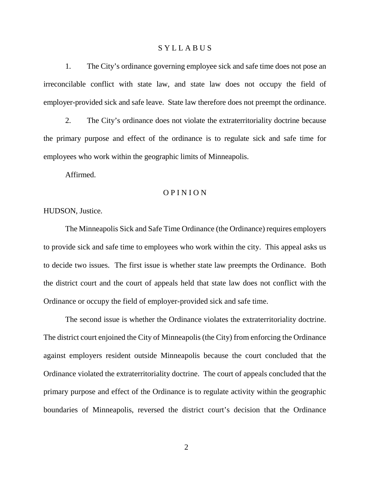## S Y L L A B U S

1. The City's ordinance governing employee sick and safe time does not pose an irreconcilable conflict with state law, and state law does not occupy the field of employer-provided sick and safe leave. State law therefore does not preempt the ordinance.

2. The City's ordinance does not violate the extraterritoriality doctrine because the primary purpose and effect of the ordinance is to regulate sick and safe time for employees who work within the geographic limits of Minneapolis.

Affirmed.

## O P I N I O N

HUDSON, Justice.

The Minneapolis Sick and Safe Time Ordinance (the Ordinance) requires employers to provide sick and safe time to employees who work within the city. This appeal asks us to decide two issues. The first issue is whether state law preempts the Ordinance. Both the district court and the court of appeals held that state law does not conflict with the Ordinance or occupy the field of employer-provided sick and safe time.

The second issue is whether the Ordinance violates the extraterritoriality doctrine. The district court enjoined the City of Minneapolis (the City) from enforcing the Ordinance against employers resident outside Minneapolis because the court concluded that the Ordinance violated the extraterritoriality doctrine. The court of appeals concluded that the primary purpose and effect of the Ordinance is to regulate activity within the geographic boundaries of Minneapolis, reversed the district court's decision that the Ordinance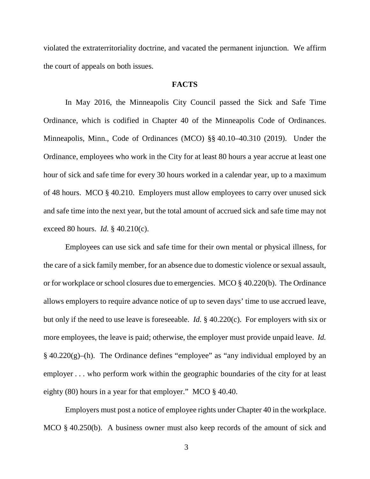violated the extraterritoriality doctrine, and vacated the permanent injunction. We affirm the court of appeals on both issues.

# **FACTS**

In May 2016, the Minneapolis City Council passed the Sick and Safe Time Ordinance, which is codified in Chapter 40 of the Minneapolis Code of Ordinances. Minneapolis, Minn., Code of Ordinances (MCO) §§ 40.10–40.310 (2019). Under the Ordinance, employees who work in the City for at least 80 hours a year accrue at least one hour of sick and safe time for every 30 hours worked in a calendar year, up to a maximum of 48 hours. MCO § 40.210. Employers must allow employees to carry over unused sick and safe time into the next year, but the total amount of accrued sick and safe time may not exceed 80 hours. *Id.* § 40.210(c).

Employees can use sick and safe time for their own mental or physical illness, for the care of a sick family member, for an absence due to domestic violence or sexual assault, or for workplace or school closures due to emergencies. MCO § 40.220(b). The Ordinance allows employers to require advance notice of up to seven days' time to use accrued leave, but only if the need to use leave is foreseeable. *Id.* § 40.220(c). For employers with six or more employees, the leave is paid; otherwise, the employer must provide unpaid leave. *Id.*  $§$  40.220(g)–(h). The Ordinance defines "employee" as "any individual employed by an employer . . . who perform work within the geographic boundaries of the city for at least eighty (80) hours in a year for that employer." MCO § 40.40.

Employers must post a notice of employee rights under Chapter 40 in the workplace. MCO § 40.250(b). A business owner must also keep records of the amount of sick and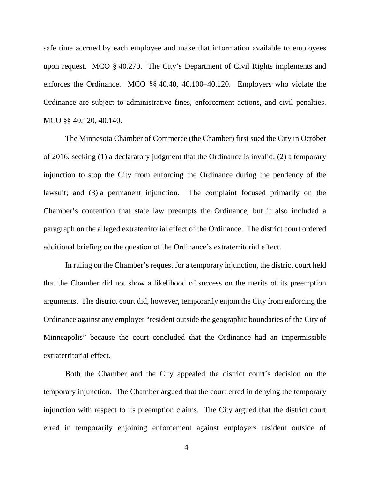safe time accrued by each employee and make that information available to employees upon request. MCO § 40.270. The City's Department of Civil Rights implements and enforces the Ordinance. MCO §§ 40.40, 40.100–40.120. Employers who violate the Ordinance are subject to administrative fines, enforcement actions, and civil penalties. MCO §§ 40.120, 40.140.

The Minnesota Chamber of Commerce (the Chamber) first sued the City in October of 2016, seeking (1) a declaratory judgment that the Ordinance is invalid; (2) a temporary injunction to stop the City from enforcing the Ordinance during the pendency of the lawsuit; and (3) a permanent injunction. The complaint focused primarily on the Chamber's contention that state law preempts the Ordinance, but it also included a paragraph on the alleged extraterritorial effect of the Ordinance. The district court ordered additional briefing on the question of the Ordinance's extraterritorial effect.

In ruling on the Chamber's request for a temporary injunction, the district court held that the Chamber did not show a likelihood of success on the merits of its preemption arguments. The district court did, however, temporarily enjoin the City from enforcing the Ordinance against any employer "resident outside the geographic boundaries of the City of Minneapolis" because the court concluded that the Ordinance had an impermissible extraterritorial effect.

Both the Chamber and the City appealed the district court's decision on the temporary injunction. The Chamber argued that the court erred in denying the temporary injunction with respect to its preemption claims. The City argued that the district court erred in temporarily enjoining enforcement against employers resident outside of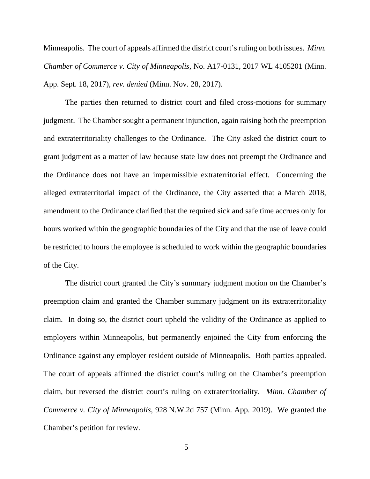Minneapolis. The court of appeals affirmed the district court's ruling on both issues. *Minn. Chamber of Commerce v. City of Minneapolis*, No. A17-0131, 2017 WL 4105201 (Minn. App. Sept. 18, 2017), *rev. denied* (Minn. Nov. 28, 2017).

The parties then returned to district court and filed cross-motions for summary judgment. The Chamber sought a permanent injunction, again raising both the preemption and extraterritoriality challenges to the Ordinance. The City asked the district court to grant judgment as a matter of law because state law does not preempt the Ordinance and the Ordinance does not have an impermissible extraterritorial effect. Concerning the alleged extraterritorial impact of the Ordinance, the City asserted that a March 2018, amendment to the Ordinance clarified that the required sick and safe time accrues only for hours worked within the geographic boundaries of the City and that the use of leave could be restricted to hours the employee is scheduled to work within the geographic boundaries of the City.

The district court granted the City's summary judgment motion on the Chamber's preemption claim and granted the Chamber summary judgment on its extraterritoriality claim. In doing so, the district court upheld the validity of the Ordinance as applied to employers within Minneapolis, but permanently enjoined the City from enforcing the Ordinance against any employer resident outside of Minneapolis. Both parties appealed. The court of appeals affirmed the district court's ruling on the Chamber's preemption claim, but reversed the district court's ruling on extraterritoriality. *Minn. Chamber of Commerce v. City of Minneapolis*, 928 N.W.2d 757 (Minn. App. 2019). We granted the Chamber's petition for review.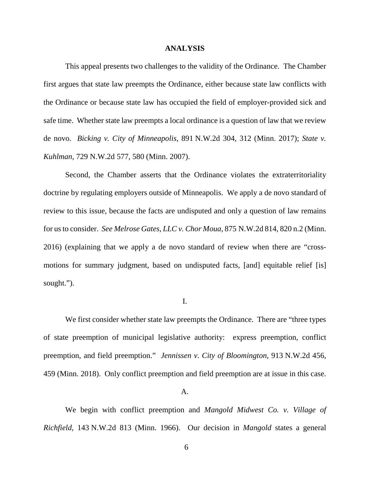#### **ANALYSIS**

This appeal presents two challenges to the validity of the Ordinance. The Chamber first argues that state law preempts the Ordinance, either because state law conflicts with the Ordinance or because state law has occupied the field of employer-provided sick and safe time. Whether state law preempts a local ordinance is a question of law that we review de novo. *Bicking v. City of Minneapolis*, 891 N.W.2d 304, 312 (Minn. 2017); *State v. Kuhlman*, 729 N.W.2d 577, 580 (Minn. 2007).

Second, the Chamber asserts that the Ordinance violates the extraterritoriality doctrine by regulating employers outside of Minneapolis. We apply a de novo standard of review to this issue, because the facts are undisputed and only a question of law remains for us to consider. *See Melrose Gates, LLC v. Chor Moua*, 875 N.W.2d 814, 820 n.2 (Minn. 2016) (explaining that we apply a de novo standard of review when there are "crossmotions for summary judgment, based on undisputed facts, [and] equitable relief [is] sought.").

#### I.

We first consider whether state law preempts the Ordinance. There are "three types of state preemption of municipal legislative authority: express preemption, conflict preemption, and field preemption." *Jennissen v. City of Bloomington*, 913 N.W.2d 456, 459 (Minn. 2018). Only conflict preemption and field preemption are at issue in this case.

#### A.

We begin with conflict preemption and *Mangold Midwest Co. v. Village of Richfield*, 143 N.W.2d 813 (Minn. 1966). Our decision in *Mangold* states a general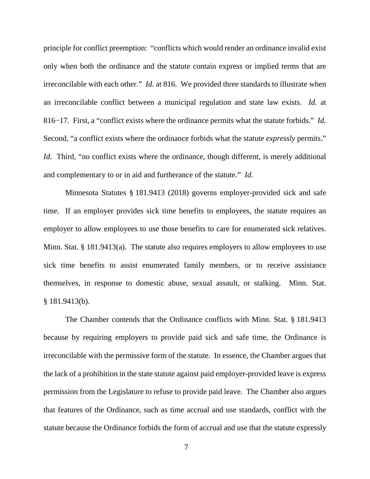principle for conflict preemption: "conflicts which would render an ordinance invalid exist only when both the ordinance and the statute contain express or implied terms that are irreconcilable with each other." *Id.* at 816. We provided three standards to illustrate when an irreconcilable conflict between a municipal regulation and state law exists. *Id.* at 816−17. First, a "conflict exists where the ordinance permits what the statute forbids." *Id.* Second, "a conflict exists where the ordinance forbids what the statute *expressly* permits." *Id.* Third, "no conflict exists where the ordinance, though different, is merely additional and complementary to or in aid and furtherance of the statute." *Id.*

Minnesota Statutes § 181.9413 (2018) governs employer-provided sick and safe time. If an employer provides sick time benefits to employees, the statute requires an employer to allow employees to use those benefits to care for enumerated sick relatives. Minn. Stat. § 181.9413(a). The statute also requires employers to allow employees to use sick time benefits to assist enumerated family members, or to receive assistance themselves, in response to domestic abuse, sexual assault, or stalking. Minn. Stat. § 181.9413(b).

The Chamber contends that the Ordinance conflicts with Minn. Stat. § 181.9413 because by requiring employers to provide paid sick and safe time, the Ordinance is irreconcilable with the permissive form of the statute. In essence, the Chamber argues that the lack of a prohibition in the state statute against paid employer-provided leave is express permission from the Legislature to refuse to provide paid leave. The Chamber also argues that features of the Ordinance, such as time accrual and use standards, conflict with the statute because the Ordinance forbids the form of accrual and use that the statute expressly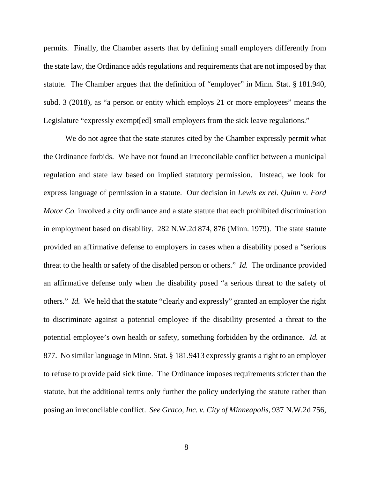permits. Finally, the Chamber asserts that by defining small employers differently from the state law, the Ordinance adds regulations and requirements that are not imposed by that statute. The Chamber argues that the definition of "employer" in Minn. Stat. § 181.940, subd. 3 (2018), as "a person or entity which employs 21 or more employees" means the Legislature "expressly exempt[ed] small employers from the sick leave regulations."

We do not agree that the state statutes cited by the Chamber expressly permit what the Ordinance forbids. We have not found an irreconcilable conflict between a municipal regulation and state law based on implied statutory permission. Instead, we look for express language of permission in a statute. Our decision in *Lewis ex rel. Quinn v. Ford Motor Co.* involved a city ordinance and a state statute that each prohibited discrimination in employment based on disability. 282 N.W.2d 874, 876 (Minn. 1979). The state statute provided an affirmative defense to employers in cases when a disability posed a "serious threat to the health or safety of the disabled person or others." *Id.* The ordinance provided an affirmative defense only when the disability posed "a serious threat to the safety of others." *Id.* We held that the statute "clearly and expressly" granted an employer the right to discriminate against a potential employee if the disability presented a threat to the potential employee's own health or safety, something forbidden by the ordinance. *Id.* at 877. No similar language in Minn. Stat. § 181.9413 expressly grants a right to an employer to refuse to provide paid sick time. The Ordinance imposes requirements stricter than the statute, but the additional terms only further the policy underlying the statute rather than posing an irreconcilable conflict. *See Graco, Inc. v. City of Minneapolis*, 937 N.W.2d 756,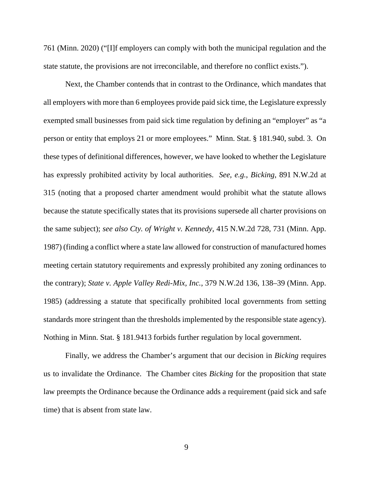761 (Minn. 2020) ("[I]f employers can comply with both the municipal regulation and the state statute, the provisions are not irreconcilable, and therefore no conflict exists.").

Next, the Chamber contends that in contrast to the Ordinance, which mandates that all employers with more than 6 employees provide paid sick time, the Legislature expressly exempted small businesses from paid sick time regulation by defining an "employer" as "a person or entity that employs 21 or more employees." Minn. Stat. § 181.940, subd. 3. On these types of definitional differences, however, we have looked to whether the Legislature has expressly prohibited activity by local authorities. *See, e.g.*, *Bicking*, 891 N.W.2d at 315 (noting that a proposed charter amendment would prohibit what the statute allows because the statute specifically states that its provisions supersede all charter provisions on the same subject); *see also Cty. of Wright v. Kennedy*, 415 N.W.2d 728, 731 (Minn. App. 1987) (finding a conflict where a state law allowed for construction of manufactured homes meeting certain statutory requirements and expressly prohibited any zoning ordinances to the contrary); *State v. Apple Valley Redi-Mix, Inc.*, 379 N.W.2d 136, 138–39 (Minn. App. 1985) (addressing a statute that specifically prohibited local governments from setting standards more stringent than the thresholds implemented by the responsible state agency). Nothing in Minn. Stat. § 181.9413 forbids further regulation by local government.

Finally, we address the Chamber's argument that our decision in *Bicking* requires us to invalidate the Ordinance. The Chamber cites *Bicking* for the proposition that state law preempts the Ordinance because the Ordinance adds a requirement (paid sick and safe time) that is absent from state law.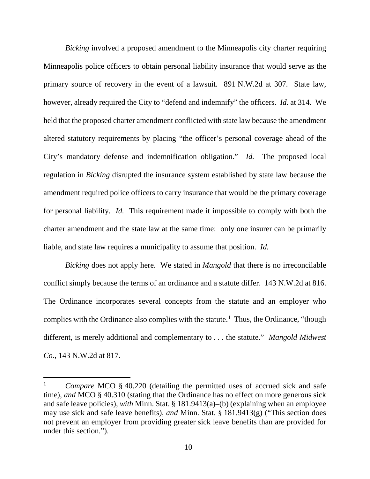*Bicking* involved a proposed amendment to the Minneapolis city charter requiring Minneapolis police officers to obtain personal liability insurance that would serve as the primary source of recovery in the event of a lawsuit. 891 N.W.2d at 307. State law, however, already required the City to "defend and indemnify" the officers. *Id.* at 314. We held that the proposed charter amendment conflicted with state law because the amendment altered statutory requirements by placing "the officer's personal coverage ahead of the City's mandatory defense and indemnification obligation." *Id.* The proposed local regulation in *Bicking* disrupted the insurance system established by state law because the amendment required police officers to carry insurance that would be the primary coverage for personal liability. *Id.* This requirement made it impossible to comply with both the charter amendment and the state law at the same time: only one insurer can be primarily liable, and state law requires a municipality to assume that position. *Id.*

*Bicking* does not apply here. We stated in *Mangold* that there is no irreconcilable conflict simply because the terms of an ordinance and a statute differ. 143 N.W.2d at 816. The Ordinance incorporates several concepts from the statute and an employer who complies with the Ordinance also complies with the statute.<sup>[1](#page-9-0)</sup> Thus, the Ordinance, "though different, is merely additional and complementary to . . . the statute." *Mangold Midwest Co.*, 143 N.W.2d at 817.

<span id="page-9-0"></span><sup>&</sup>lt;sup>1</sup> *Compare* MCO § 40.220 (detailing the permitted uses of accrued sick and safe time), *and* MCO § 40.310 (stating that the Ordinance has no effect on more generous sick and safe leave policies), *with* Minn. Stat. § 181.9413(a)–(b) (explaining when an employee may use sick and safe leave benefits), *and* Minn. Stat. § 181.9413(g) ("This section does not prevent an employer from providing greater sick leave benefits than are provided for under this section.").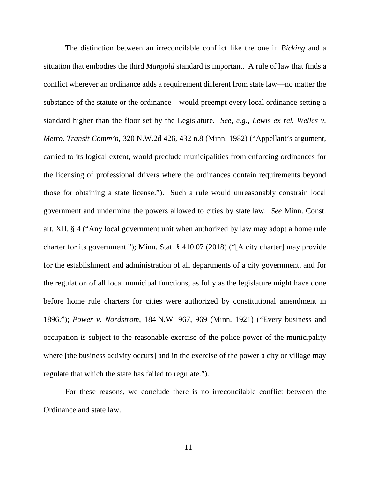The distinction between an irreconcilable conflict like the one in *Bicking* and a situation that embodies the third *Mangold* standard is important. A rule of law that finds a conflict wherever an ordinance adds a requirement different from state law—no matter the substance of the statute or the ordinance—would preempt every local ordinance setting a standard higher than the floor set by the Legislature. *See, e.g.*, *Lewis ex rel. Welles v. Metro. Transit Comm'n*, 320 N.W.2d 426, 432 n.8 (Minn. 1982) ("Appellant's argument, carried to its logical extent, would preclude municipalities from enforcing ordinances for the licensing of professional drivers where the ordinances contain requirements beyond those for obtaining a state license."). Such a rule would unreasonably constrain local government and undermine the powers allowed to cities by state law. *See* Minn. Const. art. XII, § 4 ("Any local government unit when authorized by law may adopt a home rule charter for its government."); Minn. Stat. § 410.07 (2018) ("[A city charter] may provide for the establishment and administration of all departments of a city government, and for the regulation of all local municipal functions, as fully as the legislature might have done before home rule charters for cities were authorized by constitutional amendment in 1896."); *Power v. Nordstrom*, 184 N.W. 967, 969 (Minn. 1921) ("Every business and occupation is subject to the reasonable exercise of the police power of the municipality where [the business activity occurs] and in the exercise of the power a city or village may regulate that which the state has failed to regulate.").

For these reasons, we conclude there is no irreconcilable conflict between the Ordinance and state law.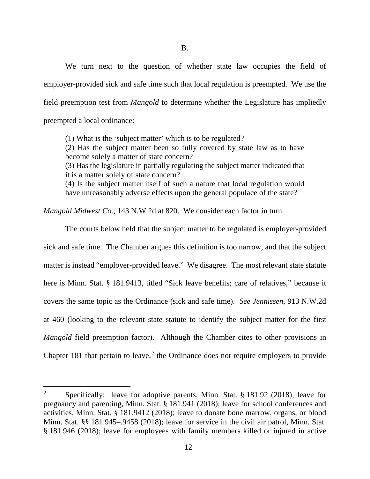We turn next to the question of whether state law occupies the field of employer-provided sick and safe time such that local regulation is preempted. We use the field preemption test from *Mangold* to determine whether the Legislature has impliedly preempted a local ordinance:

(1) What is the 'subject matter' which is to be regulated? (2) Has the subject matter been so fully covered by state law as to have become solely a matter of state concern? (3) Has the legislature in partially regulating the subject matter indicated that it is a matter solely of state concern? (4) Is the subject matter itself of such a nature that local regulation would have unreasonably adverse effects upon the general populace of the state?

*Mangold Midwest Co.*, 143 N.W.2d at 820. We consider each factor in turn.

The courts below held that the subject matter to be regulated is employer-provided sick and safe time. The Chamber argues this definition is too narrow, and that the subject matter is instead "employer-provided leave." We disagree. The most relevant state statute here is Minn. Stat. § 181.9413, titled "Sick leave benefits; care of relatives," because it covers the same topic as the Ordinance (sick and safe time). *See Jennissen*, 913 N.W.2d at 460 (looking to the relevant state statute to identify the subject matter for the first *Mangold* field preemption factor). Although the Chamber cites to other provisions in Chapter 181 that pertain to leave,<sup>[2](#page-11-0)</sup> the Ordinance does not require employers to provide

<span id="page-11-0"></span><sup>&</sup>lt;sup>2</sup> Specifically: leave for adoptive parents, Minn. Stat. § 181.92 (2018); leave for pregnancy and parenting, Minn. Stat. § 181.941 (2018); leave for school conferences and activities, Minn. Stat. § 181.9412 (2018); leave to donate bone marrow, organs, or blood Minn. Stat. §§ 181.945–.9458 (2018); leave for service in the civil air patrol, Minn. Stat. § 181.946 (2018); leave for employees with family members killed or injured in active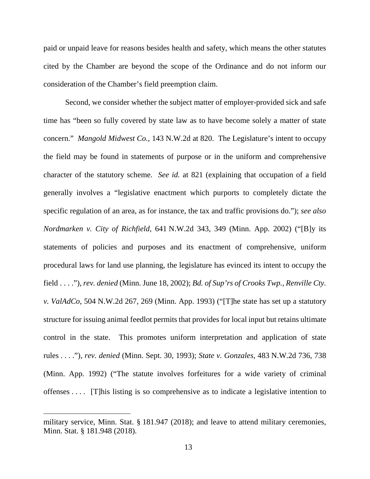paid or unpaid leave for reasons besides health and safety, which means the other statutes cited by the Chamber are beyond the scope of the Ordinance and do not inform our consideration of the Chamber's field preemption claim.

Second, we consider whether the subject matter of employer-provided sick and safe time has "been so fully covered by state law as to have become solely a matter of state concern." *Mangold Midwest Co.*, 143 N.W.2d at 820. The Legislature's intent to occupy the field may be found in statements of purpose or in the uniform and comprehensive character of the statutory scheme. *See id.* at 821 (explaining that occupation of a field generally involves a "legislative enactment which purports to completely dictate the specific regulation of an area, as for instance, the tax and traffic provisions do."); *see also Nordmarken v. City of Richfield*, 641 N.W.2d 343, 349 (Minn. App. 2002) ("[B]y its statements of policies and purposes and its enactment of comprehensive, uniform procedural laws for land use planning, the legislature has evinced its intent to occupy the field . . . ."), *rev. denied* (Minn. June 18, 2002); *Bd. of Sup'rs of Crooks Twp., Renville Cty. v. ValAdCo*, 504 N.W.2d 267, 269 (Minn. App. 1993) ("[T]he state has set up a statutory structure for issuing animal feedlot permits that provides for local input but retains ultimate control in the state. This promotes uniform interpretation and application of state rules . . . ."), *rev. denied* (Minn. Sept. 30, 1993); *State v. Gonzales*, 483 N.W.2d 736, 738 (Minn. App. 1992) ("The statute involves forfeitures for a wide variety of criminal offenses . . . . [T]his listing is so comprehensive as to indicate a legislative intention to

military service, Minn. Stat. § 181.947 (2018); and leave to attend military ceremonies, Minn. Stat. § 181.948 (2018).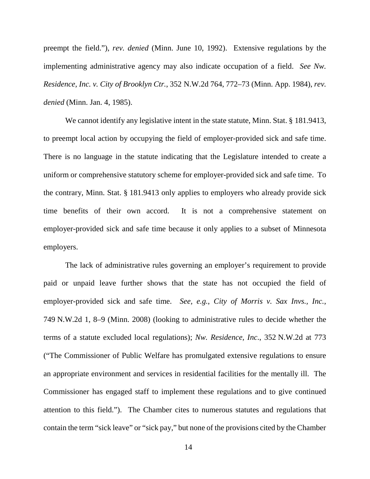preempt the field."), *rev. denied* (Minn. June 10, 1992). Extensive regulations by the implementing administrative agency may also indicate occupation of a field. *See Nw. Residence, Inc. v. City of Brooklyn Ctr.*, 352 N.W.2d 764, 772–73 (Minn. App. 1984), *rev. denied* (Minn. Jan. 4, 1985).

We cannot identify any legislative intent in the state statute, Minn. Stat. § 181.9413, to preempt local action by occupying the field of employer-provided sick and safe time. There is no language in the statute indicating that the Legislature intended to create a uniform or comprehensive statutory scheme for employer-provided sick and safe time. To the contrary, Minn. Stat. § 181.9413 only applies to employers who already provide sick time benefits of their own accord. It is not a comprehensive statement on employer-provided sick and safe time because it only applies to a subset of Minnesota employers.

The lack of administrative rules governing an employer's requirement to provide paid or unpaid leave further shows that the state has not occupied the field of employer-provided sick and safe time. *See, e.g.*, *City of Morris v. Sax Invs., Inc.*, 749 N.W.2d 1, 8–9 (Minn. 2008) (looking to administrative rules to decide whether the terms of a statute excluded local regulations); *Nw. Residence, Inc*., 352 N.W.2d at 773 ("The Commissioner of Public Welfare has promulgated extensive regulations to ensure an appropriate environment and services in residential facilities for the mentally ill. The Commissioner has engaged staff to implement these regulations and to give continued attention to this field."). The Chamber cites to numerous statutes and regulations that contain the term "sick leave" or "sick pay," but none of the provisions cited by the Chamber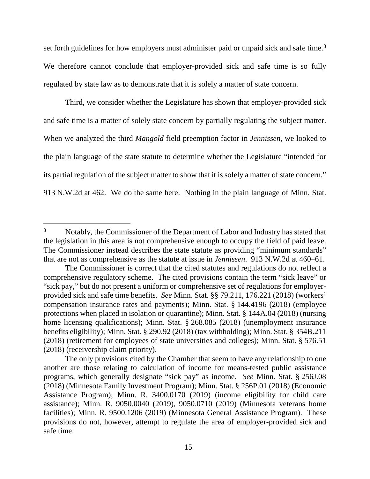set forth guidelines for how employers must administer paid or unpaid sick and safe time.<sup>[3](#page-14-0)</sup> We therefore cannot conclude that employer-provided sick and safe time is so fully regulated by state law as to demonstrate that it is solely a matter of state concern.

Third, we consider whether the Legislature has shown that employer-provided sick and safe time is a matter of solely state concern by partially regulating the subject matter. When we analyzed the third *Mangold* field preemption factor in *Jennissen*, we looked to the plain language of the state statute to determine whether the Legislature "intended for its partial regulation of the subject matter to show that it is solely a matter of state concern." 913 N.W.2d at 462. We do the same here. Nothing in the plain language of Minn. Stat.

<span id="page-14-0"></span><sup>&</sup>lt;sup>3</sup> Notably, the Commissioner of the Department of Labor and Industry has stated that the legislation in this area is not comprehensive enough to occupy the field of paid leave. The Commissioner instead describes the state statute as providing "minimum standards" that are not as comprehensive as the statute at issue in *Jennissen*. 913 N.W.2d at 460–61.

The Commissioner is correct that the cited statutes and regulations do not reflect a comprehensive regulatory scheme. The cited provisions contain the term "sick leave" or "sick pay," but do not present a uniform or comprehensive set of regulations for employerprovided sick and safe time benefits. *See* Minn. Stat. §§ 79.211, 176.221 (2018) (workers' compensation insurance rates and payments); Minn. Stat. § 144.4196 (2018) (employee protections when placed in isolation or quarantine); Minn. Stat. § 144A.04 (2018) (nursing home licensing qualifications); Minn. Stat. § 268.085 (2018) (unemployment insurance benefits eligibility); Minn. Stat. § 290.92 (2018) (tax withholding); Minn. Stat. § 354B.211 (2018) (retirement for employees of state universities and colleges); Minn. Stat. § 576.51 (2018) (receivership claim priority).

The only provisions cited by the Chamber that seem to have any relationship to one another are those relating to calculation of income for means-tested public assistance programs, which generally designate "sick pay" as income. *See* Minn. Stat. § 256J.08 (2018) (Minnesota Family Investment Program); Minn. Stat. § 256P.01 (2018) (Economic Assistance Program); Minn. R. 3400.0170 (2019) (income eligibility for child care assistance); Minn. R. 9050.0040 (2019), 9050.0710 (2019) (Minnesota veterans home facilities); Minn. R. 9500.1206 (2019) (Minnesota General Assistance Program). These provisions do not, however, attempt to regulate the area of employer-provided sick and safe time.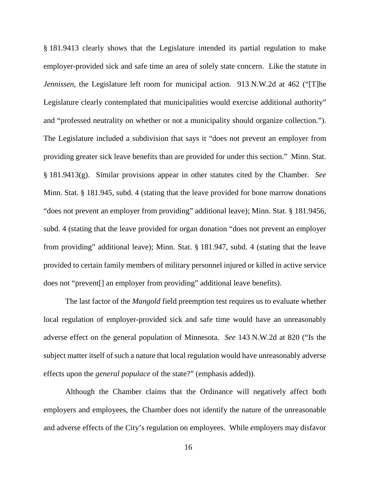§ 181.9413 clearly shows that the Legislature intended its partial regulation to make employer-provided sick and safe time an area of solely state concern. Like the statute in *Jennissen*, the Legislature left room for municipal action. 913 N.W.2d at 462 ("[T]he Legislature clearly contemplated that municipalities would exercise additional authority" and "professed neutrality on whether or not a municipality should organize collection."). The Legislature included a subdivision that says it "does not prevent an employer from providing greater sick leave benefits than are provided for under this section." Minn. Stat. § 181.9413(g). Similar provisions appear in other statutes cited by the Chamber. *See* Minn. Stat. § 181.945, subd. 4 (stating that the leave provided for bone marrow donations "does not prevent an employer from providing" additional leave); Minn. Stat. § 181.9456, subd. 4 (stating that the leave provided for organ donation "does not prevent an employer from providing" additional leave); Minn. Stat. § 181.947, subd. 4 (stating that the leave provided to certain family members of military personnel injured or killed in active service does not "prevent[] an employer from providing" additional leave benefits).

The last factor of the *Mangold* field preemption test requires us to evaluate whether local regulation of employer-provided sick and safe time would have an unreasonably adverse effect on the general population of Minnesota. *See* 143 N.W.2d at 820 ("Is the subject matter itself of such a nature that local regulation would have unreasonably adverse effects upon the *general populace* of the state?" (emphasis added)).

Although the Chamber claims that the Ordinance will negatively affect both employers and employees, the Chamber does not identify the nature of the unreasonable and adverse effects of the City's regulation on employees. While employers may disfavor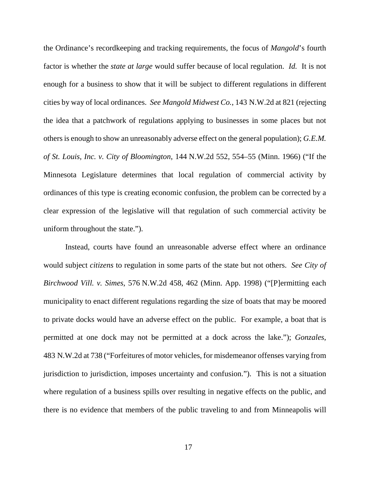the Ordinance's recordkeeping and tracking requirements, the focus of *Mangold*'s fourth factor is whether the *state at large* would suffer because of local regulation. *Id.* It is not enough for a business to show that it will be subject to different regulations in different cities by way of local ordinances. *See Mangold Midwest Co.*, 143 N.W.2d at 821 (rejecting the idea that a patchwork of regulations applying to businesses in some places but not others is enough to show an unreasonably adverse effect on the general population); *G.E.M. of St. Louis, Inc. v. City of Bloomington*, 144 N.W.2d 552, 554–55 (Minn. 1966) ("If the Minnesota Legislature determines that local regulation of commercial activity by ordinances of this type is creating economic confusion, the problem can be corrected by a clear expression of the legislative will that regulation of such commercial activity be uniform throughout the state.").

Instead, courts have found an unreasonable adverse effect where an ordinance would subject *citizens* to regulation in some parts of the state but not others. *See City of Birchwood Vill. v. Simes*, 576 N.W.2d 458, 462 (Minn. App. 1998) ("[P]ermitting each municipality to enact different regulations regarding the size of boats that may be moored to private docks would have an adverse effect on the public. For example, a boat that is permitted at one dock may not be permitted at a dock across the lake."); *Gonzales*, 483 N.W.2d at 738 ("Forfeitures of motor vehicles, for misdemeanor offenses varying from jurisdiction to jurisdiction, imposes uncertainty and confusion."). This is not a situation where regulation of a business spills over resulting in negative effects on the public, and there is no evidence that members of the public traveling to and from Minneapolis will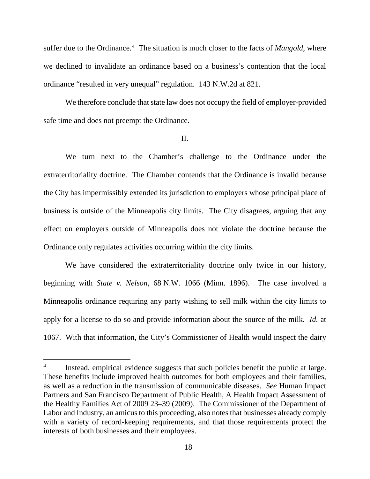suffer due to the Ordinance.<sup>[4](#page-17-0)</sup> The situation is much closer to the facts of *Mangold*, where we declined to invalidate an ordinance based on a business's contention that the local ordinance "resulted in very unequal" regulation. 143 N.W.2d at 821.

We therefore conclude that state law does not occupy the field of employer-provided safe time and does not preempt the Ordinance.

#### II.

We turn next to the Chamber's challenge to the Ordinance under the extraterritoriality doctrine. The Chamber contends that the Ordinance is invalid because the City has impermissibly extended its jurisdiction to employers whose principal place of business is outside of the Minneapolis city limits. The City disagrees, arguing that any effect on employers outside of Minneapolis does not violate the doctrine because the Ordinance only regulates activities occurring within the city limits.

We have considered the extraterritoriality doctrine only twice in our history, beginning with *State v. Nelson*, 68 N.W. 1066 (Minn. 1896). The case involved a Minneapolis ordinance requiring any party wishing to sell milk within the city limits to apply for a license to do so and provide information about the source of the milk. *Id.* at 1067. With that information, the City's Commissioner of Health would inspect the dairy

<span id="page-17-0"></span><sup>&</sup>lt;sup>4</sup> Instead, empirical evidence suggests that such policies benefit the public at large. These benefits include improved health outcomes for both employees and their families, as well as a reduction in the transmission of communicable diseases. *See* Human Impact Partners and San Francisco Department of Public Health, A Health Impact Assessment of the Healthy Families Act of 2009 23–39 (2009). The Commissioner of the Department of Labor and Industry, an amicus to this proceeding, also notes that businesses already comply with a variety of record-keeping requirements, and that those requirements protect the interests of both businesses and their employees.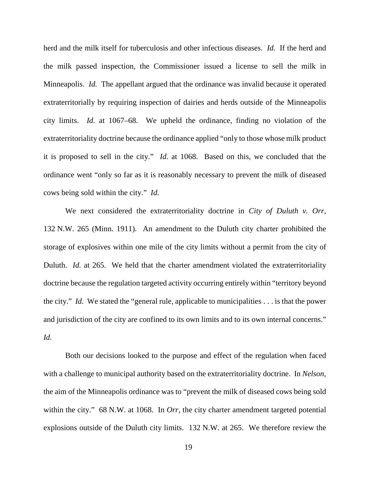herd and the milk itself for tuberculosis and other infectious diseases. *Id.* If the herd and the milk passed inspection, the Commissioner issued a license to sell the milk in Minneapolis. *Id.* The appellant argued that the ordinance was invalid because it operated extraterritorially by requiring inspection of dairies and herds outside of the Minneapolis city limits. *Id.* at 1067–68. We upheld the ordinance, finding no violation of the extraterritoriality doctrine because the ordinance applied "only to those whose milk product it is proposed to sell in the city." *Id.* at 1068. Based on this, we concluded that the ordinance went "only so far as it is reasonably necessary to prevent the milk of diseased cows being sold within the city." *Id.*

We next considered the extraterritoriality doctrine in *City of Duluth v. Orr*, 132 N.W. 265 (Minn. 1911). An amendment to the Duluth city charter prohibited the storage of explosives within one mile of the city limits without a permit from the city of Duluth. *Id.* at 265. We held that the charter amendment violated the extraterritoriality doctrine because the regulation targeted activity occurring entirely within "territory beyond the city." *Id.* We stated the "general rule, applicable to municipalities . . . is that the power and jurisdiction of the city are confined to its own limits and to its own internal concerns." *Id.*

Both our decisions looked to the purpose and effect of the regulation when faced with a challenge to municipal authority based on the extraterritoriality doctrine. In *Nelson*, the aim of the Minneapolis ordinance was to "prevent the milk of diseased cows being sold within the city." 68 N.W. at 1068. In *Orr*, the city charter amendment targeted potential explosions outside of the Duluth city limits. 132 N.W. at 265. We therefore review the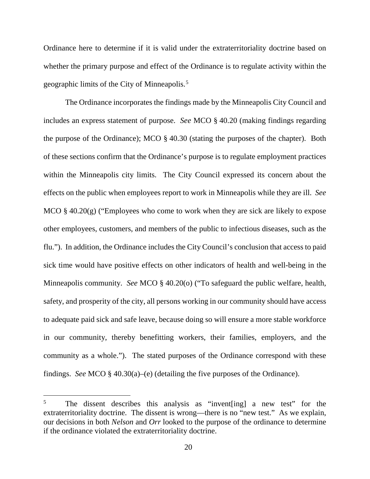Ordinance here to determine if it is valid under the extraterritoriality doctrine based on whether the primary purpose and effect of the Ordinance is to regulate activity within the geographic limits of the City of Minneapolis.[5](#page-19-0)

The Ordinance incorporates the findings made by the Minneapolis City Council and includes an express statement of purpose. *See* MCO § 40.20 (making findings regarding the purpose of the Ordinance); MCO § 40.30 (stating the purposes of the chapter). Both of these sections confirm that the Ordinance's purpose is to regulate employment practices within the Minneapolis city limits. The City Council expressed its concern about the effects on the public when employees report to work in Minneapolis while they are ill. *See*  MCO  $\S$  40.20(g) ("Employees who come to work when they are sick are likely to expose other employees, customers, and members of the public to infectious diseases, such as the flu."). In addition, the Ordinance includes the City Council's conclusion that access to paid sick time would have positive effects on other indicators of health and well-being in the Minneapolis community. *See* MCO § 40.20(o) ("To safeguard the public welfare, health, safety, and prosperity of the city, all persons working in our community should have access to adequate paid sick and safe leave, because doing so will ensure a more stable workforce in our community, thereby benefitting workers, their families, employers, and the community as a whole."). The stated purposes of the Ordinance correspond with these findings. *See* MCO § 40.30(a)–(e) (detailing the five purposes of the Ordinance).

<span id="page-19-0"></span><sup>&</sup>lt;sup>5</sup> The dissent describes this analysis as "invent [ing] a new test" for the extraterritoriality doctrine. The dissent is wrong—there is no "new test." As we explain, our decisions in both *Nelson* and *Orr* looked to the purpose of the ordinance to determine if the ordinance violated the extraterritoriality doctrine.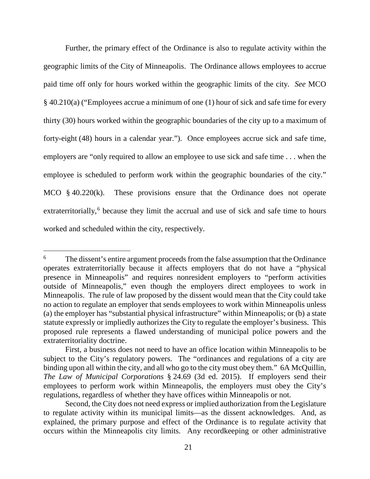Further, the primary effect of the Ordinance is also to regulate activity within the geographic limits of the City of Minneapolis. The Ordinance allows employees to accrue paid time off only for hours worked within the geographic limits of the city. *See* MCO § 40.210(a) ("Employees accrue a minimum of one (1) hour of sick and safe time for every thirty (30) hours worked within the geographic boundaries of the city up to a maximum of forty-eight (48) hours in a calendar year."). Once employees accrue sick and safe time, employers are "only required to allow an employee to use sick and safe time . . . when the employee is scheduled to perform work within the geographic boundaries of the city." MCO § 40.220(k). These provisions ensure that the Ordinance does not operate extraterritorially,<sup>[6](#page-20-0)</sup> because they limit the accrual and use of sick and safe time to hours worked and scheduled within the city, respectively.

<span id="page-20-0"></span><sup>&</sup>lt;sup>6</sup> The dissent's entire argument proceeds from the false assumption that the Ordinance operates extraterritorially because it affects employers that do not have a "physical presence in Minneapolis" and requires nonresident employers to "perform activities outside of Minneapolis," even though the employers direct employees to work in Minneapolis. The rule of law proposed by the dissent would mean that the City could take no action to regulate an employer that sends employees to work within Minneapolis unless (a) the employer has "substantial physical infrastructure" within Minneapolis; or (b) a state statute expressly or impliedly authorizes the City to regulate the employer's business. This proposed rule represents a flawed understanding of municipal police powers and the extraterritoriality doctrine.

First, a business does not need to have an office location within Minneapolis to be subject to the City's regulatory powers. The "ordinances and regulations of a city are binding upon all within the city, and all who go to the city must obey them." 6A McQuillin, *The Law of Municipal Corporations* § 24.69 (3d ed. 2015). If employers send their employees to perform work within Minneapolis, the employers must obey the City's regulations, regardless of whether they have offices within Minneapolis or not.

Second, the City does not need express or implied authorization from the Legislature to regulate activity within its municipal limits—as the dissent acknowledges. And, as explained, the primary purpose and effect of the Ordinance is to regulate activity that occurs within the Minneapolis city limits. Any recordkeeping or other administrative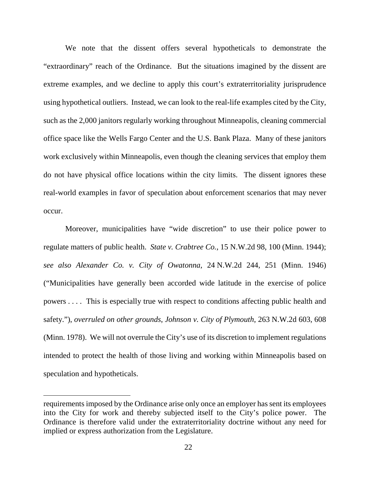We note that the dissent offers several hypotheticals to demonstrate the "extraordinary" reach of the Ordinance. But the situations imagined by the dissent are extreme examples, and we decline to apply this court's extraterritoriality jurisprudence using hypothetical outliers. Instead, we can look to the real-life examples cited by the City, such as the 2,000 janitors regularly working throughout Minneapolis, cleaning commercial office space like the Wells Fargo Center and the U.S. Bank Plaza. Many of these janitors work exclusively within Minneapolis, even though the cleaning services that employ them do not have physical office locations within the city limits. The dissent ignores these real-world examples in favor of speculation about enforcement scenarios that may never occur.

Moreover, municipalities have "wide discretion" to use their police power to regulate matters of public health. *State v. Crabtree Co.*, 15 N.W.2d 98, 100 (Minn. 1944); *see also Alexander Co. v. City of Owatonna*, 24 N.W.2d 244, 251 (Minn. 1946) ("Municipalities have generally been accorded wide latitude in the exercise of police powers . . . . This is especially true with respect to conditions affecting public health and safety."), *overruled on other grounds*, *Johnson v. City of Plymouth*, 263 N.W.2d 603, 608 (Minn. 1978). We will not overrule the City's use of its discretion to implement regulations intended to protect the health of those living and working within Minneapolis based on speculation and hypotheticals.

 $\overline{a}$ 

requirements imposed by the Ordinance arise only once an employer has sent its employees into the City for work and thereby subjected itself to the City's police power. The Ordinance is therefore valid under the extraterritoriality doctrine without any need for implied or express authorization from the Legislature.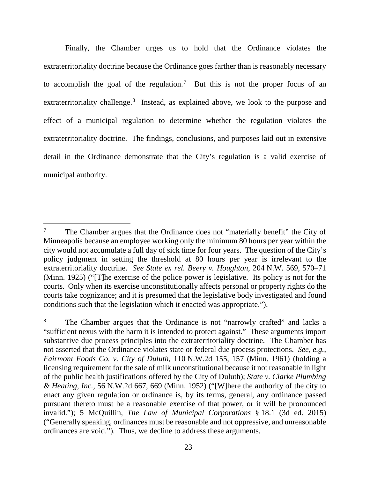Finally, the Chamber urges us to hold that the Ordinance violates the extraterritoriality doctrine because the Ordinance goes farther than is reasonably necessary to accomplish the goal of the regulation.<sup>[7](#page-22-0)</sup> But this is not the proper focus of an extraterritoriality challenge.<sup>[8](#page-22-1)</sup> Instead, as explained above, we look to the purpose and effect of a municipal regulation to determine whether the regulation violates the extraterritoriality doctrine. The findings, conclusions, and purposes laid out in extensive detail in the Ordinance demonstrate that the City's regulation is a valid exercise of municipal authority.

<span id="page-22-0"></span><sup>&</sup>lt;sup>7</sup> The Chamber argues that the Ordinance does not "materially benefit" the City of Minneapolis because an employee working only the minimum 80 hours per year within the city would not accumulate a full day of sick time for four years. The question of the City's policy judgment in setting the threshold at 80 hours per year is irrelevant to the extraterritoriality doctrine. *See State ex rel. Beery v. Houghton*, 204 N.W. 569, 570–71 (Minn. 1925) ("[T]he exercise of the police power is legislative. Its policy is not for the courts. Only when its exercise unconstitutionally affects personal or property rights do the courts take cognizance; and it is presumed that the legislative body investigated and found conditions such that the legislation which it enacted was appropriate.").

<span id="page-22-1"></span><sup>&</sup>lt;sup>8</sup> The Chamber argues that the Ordinance is not "narrowly crafted" and lacks a "sufficient nexus with the harm it is intended to protect against." These arguments import substantive due process principles into the extraterritoriality doctrine. The Chamber has not asserted that the Ordinance violates state or federal due process protections. *See, e.g.*, *Fairmont Foods Co. v. City of Duluth*, 110 N.W.2d 155, 157 (Minn. 1961) (holding a licensing requirement for the sale of milk unconstitutional because it not reasonable in light of the public health justifications offered by the City of Duluth); *State v. Clarke Plumbing & Heating, Inc.*, 56 N.W.2d 667, 669 (Minn. 1952) ("[W]here the authority of the city to enact any given regulation or ordinance is, by its terms, general, any ordinance passed pursuant thereto must be a reasonable exercise of that power, or it will be pronounced invalid."); 5 McQuillin, *The Law of Municipal Corporations* § 18.1 (3d ed. 2015) ("Generally speaking, ordinances must be reasonable and not oppressive, and unreasonable ordinances are void."). Thus, we decline to address these arguments.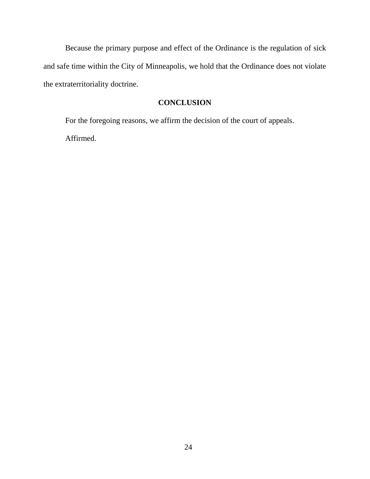Because the primary purpose and effect of the Ordinance is the regulation of sick and safe time within the City of Minneapolis, we hold that the Ordinance does not violate the extraterritoriality doctrine.

# **CONCLUSION**

For the foregoing reasons, we affirm the decision of the court of appeals. Affirmed.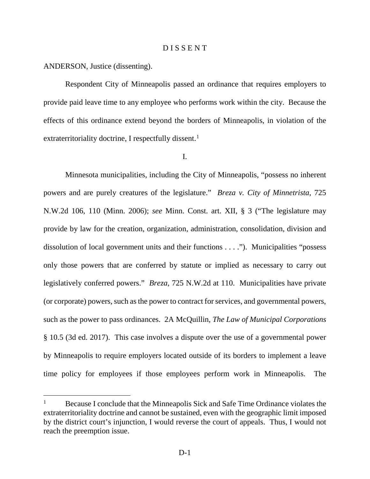## D I S S E N T

ANDERSON, Justice (dissenting).

Respondent City of Minneapolis passed an ordinance that requires employers to provide paid leave time to any employee who performs work within the city. Because the effects of this ordinance extend beyond the borders of Minneapolis, in violation of the extraterritoriality doctrine, I respectfully dissent.<sup>[1](#page-24-0)</sup>

I.

Minnesota municipalities, including the City of Minneapolis, "possess no inherent powers and are purely creatures of the legislature." *Breza v. City of Minnetrista*, 725 N.W.2d 106, 110 (Minn. 2006); *see* Minn. Const. art. XII, § 3 ("The legislature may provide by law for the creation, organization, administration, consolidation, division and dissolution of local government units and their functions . . . ."). Municipalities "possess only those powers that are conferred by statute or implied as necessary to carry out legislatively conferred powers." *Breza*, 725 N.W.2d at 110. Municipalities have private (or corporate) powers, such as the power to contract for services, and governmental powers, such as the power to pass ordinances. 2A McQuillin, *The Law of Municipal Corporations* § 10.5 (3d ed. 2017). This case involves a dispute over the use of a governmental power by Minneapolis to require employers located outside of its borders to implement a leave time policy for employees if those employees perform work in Minneapolis. The

<span id="page-24-0"></span> $1^1$  Because I conclude that the Minneapolis Sick and Safe Time Ordinance violates the extraterritoriality doctrine and cannot be sustained, even with the geographic limit imposed by the district court's injunction, I would reverse the court of appeals. Thus, I would not reach the preemption issue.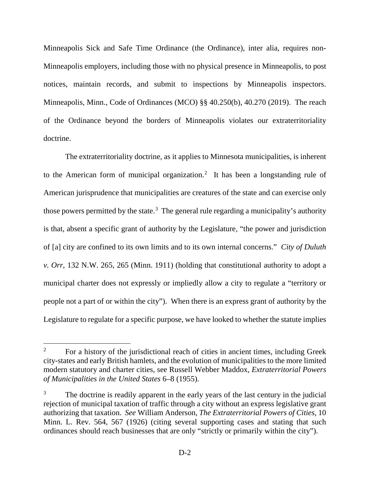Minneapolis Sick and Safe Time Ordinance (the Ordinance), inter alia, requires non-Minneapolis employers, including those with no physical presence in Minneapolis, to post notices, maintain records, and submit to inspections by Minneapolis inspectors. Minneapolis, Minn., Code of Ordinances (MCO) §§ 40.250(b), 40.270 (2019). The reach of the Ordinance beyond the borders of Minneapolis violates our extraterritoriality doctrine.

The extraterritoriality doctrine, as it applies to Minnesota municipalities, is inherent to the American form of municipal organization.<sup>[2](#page-25-0)</sup> It has been a longstanding rule of American jurisprudence that municipalities are creatures of the state and can exercise only those powers permitted by the state.<sup>[3](#page-25-1)</sup> The general rule regarding a municipality's authority is that, absent a specific grant of authority by the Legislature, "the power and jurisdiction of [a] city are confined to its own limits and to its own internal concerns." *City of Duluth v. Orr*, 132 N.W. 265, 265 (Minn. 1911) (holding that constitutional authority to adopt a municipal charter does not expressly or impliedly allow a city to regulate a "territory or people not a part of or within the city"). When there is an express grant of authority by the Legislature to regulate for a specific purpose, we have looked to whether the statute implies

<span id="page-25-0"></span><sup>&</sup>lt;sup>2</sup> For a history of the jurisdictional reach of cities in ancient times, including Greek city-states and early British hamlets, and the evolution of municipalities to the more limited modern statutory and charter cities, see Russell Webber Maddox, *Extraterritorial Powers of Municipalities in the United States* 6–8 (1955).

<span id="page-25-1"></span>The doctrine is readily apparent in the early years of the last century in the judicial rejection of municipal taxation of traffic through a city without an express legislative grant authorizing that taxation. *See* William Anderson, *The Extraterritorial Powers of Cities*, 10 Minn. L. Rev. 564, 567 (1926) (citing several supporting cases and stating that such ordinances should reach businesses that are only "strictly or primarily within the city").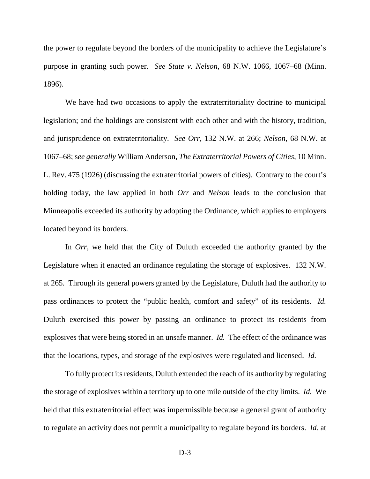the power to regulate beyond the borders of the municipality to achieve the Legislature's purpose in granting such power. *See State v. Nelson*, 68 N.W. 1066, 1067–68 (Minn. 1896).

We have had two occasions to apply the extraterritoriality doctrine to municipal legislation; and the holdings are consistent with each other and with the history, tradition, and jurisprudence on extraterritoriality. *See Orr*, 132 N.W. at 266; *Nelson*, 68 N.W. at 1067–68; s*ee generally* William Anderson, *The Extraterritorial Powers of Cities*, 10 Minn. L. Rev. 475 (1926) (discussing the extraterritorial powers of cities). Contrary to the court's holding today, the law applied in both *Orr* and *Nelson* leads to the conclusion that Minneapolis exceeded its authority by adopting the Ordinance, which applies to employers located beyond its borders.

In *Orr*, we held that the City of Duluth exceeded the authority granted by the Legislature when it enacted an ordinance regulating the storage of explosives. 132 N.W. at 265. Through its general powers granted by the Legislature, Duluth had the authority to pass ordinances to protect the "public health, comfort and safety" of its residents. *Id.* Duluth exercised this power by passing an ordinance to protect its residents from explosives that were being stored in an unsafe manner. *Id.* The effect of the ordinance was that the locations, types, and storage of the explosives were regulated and licensed. *Id.*

To fully protect its residents, Duluth extended the reach of its authority by regulating the storage of explosives within a territory up to one mile outside of the city limits. *Id.* We held that this extraterritorial effect was impermissible because a general grant of authority to regulate an activity does not permit a municipality to regulate beyond its borders. *Id.* at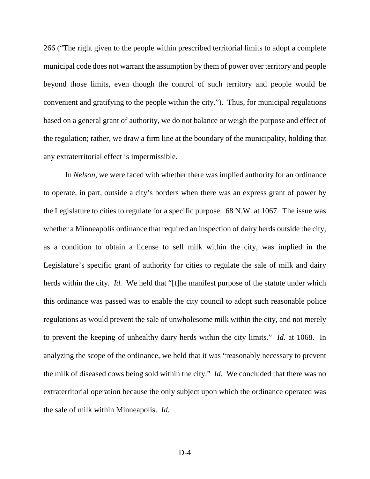266 ("The right given to the people within prescribed territorial limits to adopt a complete municipal code does not warrant the assumption by them of power over territory and people beyond those limits, even though the control of such territory and people would be convenient and gratifying to the people within the city."). Thus, for municipal regulations based on a general grant of authority, we do not balance or weigh the purpose and effect of the regulation; rather, we draw a firm line at the boundary of the municipality, holding that any extraterritorial effect is impermissible.

In *Nelson*, we were faced with whether there was implied authority for an ordinance to operate, in part, outside a city's borders when there was an express grant of power by the Legislature to cities to regulate for a specific purpose. 68 N.W. at 1067. The issue was whether a Minneapolis ordinance that required an inspection of dairy herds outside the city, as a condition to obtain a license to sell milk within the city, was implied in the Legislature's specific grant of authority for cities to regulate the sale of milk and dairy herds within the city. *Id.* We held that "[t]he manifest purpose of the statute under which this ordinance was passed was to enable the city council to adopt such reasonable police regulations as would prevent the sale of unwholesome milk within the city, and not merely to prevent the keeping of unhealthy dairy herds within the city limits." *Id.* at 1068. In analyzing the scope of the ordinance, we held that it was "reasonably necessary to prevent the milk of diseased cows being sold within the city." *Id.* We concluded that there was no extraterritorial operation because the only subject upon which the ordinance operated was the sale of milk within Minneapolis. *Id.*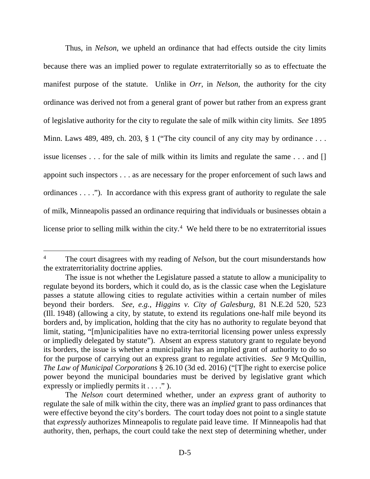Thus, in *Nelson*, we upheld an ordinance that had effects outside the city limits because there was an implied power to regulate extraterritorially so as to effectuate the manifest purpose of the statute. Unlike in *Orr*, in *Nelson*, the authority for the city ordinance was derived not from a general grant of power but rather from an express grant of legislative authority for the city to regulate the sale of milk within city limits. *See* 1895 Minn. Laws 489, 489, ch. 203, § 1 ("The city council of any city may by ordinance ... issue licenses . . . for the sale of milk within its limits and regulate the same . . . and [] appoint such inspectors . . . as are necessary for the proper enforcement of such laws and ordinances . . . ."). In accordance with this express grant of authority to regulate the sale of milk, Minneapolis passed an ordinance requiring that individuals or businesses obtain a license prior to selling milk within the city. $4$  We held there to be no extraterritorial issues

<span id="page-28-0"></span><sup>&</sup>lt;sup>4</sup> The court disagrees with my reading of *Nelson*, but the court misunderstands how the extraterritoriality doctrine applies.

The issue is not whether the Legislature passed a statute to allow a municipality to regulate beyond its borders, which it could do, as is the classic case when the Legislature passes a statute allowing cities to regulate activities within a certain number of miles beyond their borders. *See, e.g.*, *Higgins v. City of Galesburg*, 81 N.E.2d 520, 523 (Ill. 1948) (allowing a city, by statute, to extend its regulations one-half mile beyond its borders and, by implication, holding that the city has no authority to regulate beyond that limit, stating, "[m]unicipalities have no extra-territorial licensing power unless expressly or impliedly delegated by statute"). Absent an express statutory grant to regulate beyond its borders, the issue is whether a municipality has an implied grant of authority to do so for the purpose of carrying out an express grant to regulate activities. *See* 9 McQuillin, *The Law of Municipal Corporations* § 26.10 (3d ed. 2016) ("[T]he right to exercise police power beyond the municipal boundaries must be derived by legislative grant which expressly or impliedly permits it  $\dots$ ." ).

The *Nelson* court determined whether, under an *express* grant of authority to regulate the sale of milk within the city, there was an *implied* grant to pass ordinances that were effective beyond the city's borders. The court today does not point to a single statute that *expressly* authorizes Minneapolis to regulate paid leave time. If Minneapolis had that authority, then, perhaps, the court could take the next step of determining whether, under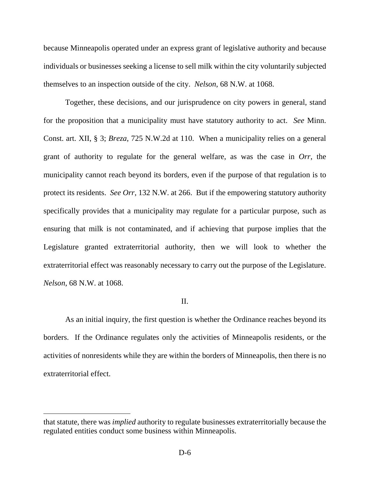because Minneapolis operated under an express grant of legislative authority and because individuals or businesses seeking a license to sell milk within the city voluntarily subjected themselves to an inspection outside of the city. *Nelson*, 68 N.W. at 1068.

Together, these decisions, and our jurisprudence on city powers in general, stand for the proposition that a municipality must have statutory authority to act. *See* Minn. Const. art. XII, § 3; *Breza*, 725 N.W.2d at 110. When a municipality relies on a general grant of authority to regulate for the general welfare, as was the case in *Orr*, the municipality cannot reach beyond its borders, even if the purpose of that regulation is to protect its residents. *See Orr*, 132 N.W. at 266. But if the empowering statutory authority specifically provides that a municipality may regulate for a particular purpose, such as ensuring that milk is not contaminated, and if achieving that purpose implies that the Legislature granted extraterritorial authority, then we will look to whether the extraterritorial effect was reasonably necessary to carry out the purpose of the Legislature. *Nelson*, 68 N.W. at 1068.

# II.

As an initial inquiry, the first question is whether the Ordinance reaches beyond its borders. If the Ordinance regulates only the activities of Minneapolis residents, or the activities of nonresidents while they are within the borders of Minneapolis, then there is no extraterritorial effect.

that statute, there was *implied* authority to regulate businesses extraterritorially because the regulated entities conduct some business within Minneapolis.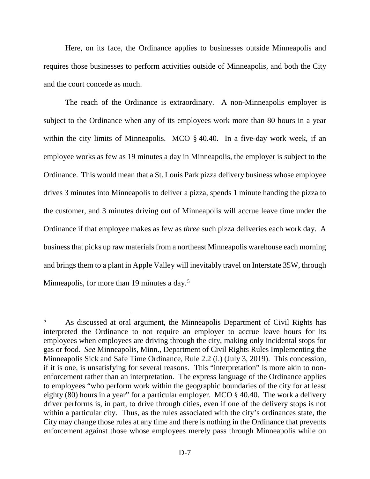Here, on its face, the Ordinance applies to businesses outside Minneapolis and requires those businesses to perform activities outside of Minneapolis, and both the City and the court concede as much.

The reach of the Ordinance is extraordinary. A non-Minneapolis employer is subject to the Ordinance when any of its employees work more than 80 hours in a year within the city limits of Minneapolis. MCO § 40.40. In a five-day work week, if an employee works as few as 19 minutes a day in Minneapolis, the employer is subject to the Ordinance. This would mean that a St. Louis Park pizza delivery business whose employee drives 3 minutes into Minneapolis to deliver a pizza, spends 1 minute handing the pizza to the customer, and 3 minutes driving out of Minneapolis will accrue leave time under the Ordinance if that employee makes as few as *three* such pizza deliveries each work day. A business that picks up raw materials from a northeast Minneapolis warehouse each morning and brings them to a plant in Apple Valley will inevitably travel on Interstate 35W, through Minneapolis, for more than 19 minutes a day.<sup>[5](#page-30-0)</sup>

<span id="page-30-0"></span><sup>&</sup>lt;sup>5</sup> As discussed at oral argument, the Minneapolis Department of Civil Rights has interpreted the Ordinance to not require an employer to accrue leave hours for its employees when employees are driving through the city, making only incidental stops for gas or food. *See* Minneapolis, Minn., Department of Civil Rights Rules Implementing the Minneapolis Sick and Safe Time Ordinance, Rule 2.2 (i.) (July 3, 2019). This concession, if it is one, is unsatisfying for several reasons. This "interpretation" is more akin to nonenforcement rather than an interpretation. The express language of the Ordinance applies to employees "who perform work within the geographic boundaries of the city for at least eighty (80) hours in a year" for a particular employer. MCO § 40.40. The work a delivery driver performs is, in part, to drive through cities, even if one of the delivery stops is not within a particular city. Thus, as the rules associated with the city's ordinances state, the City may change those rules at any time and there is nothing in the Ordinance that prevents enforcement against those whose employees merely pass through Minneapolis while on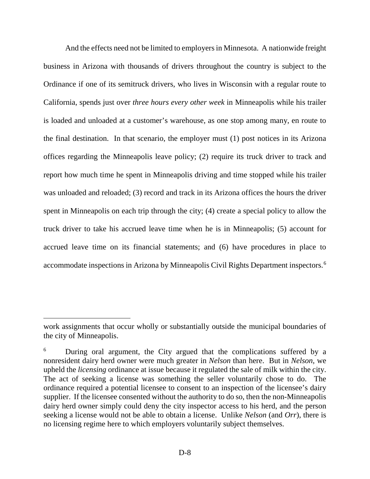And the effects need not be limited to employers in Minnesota. A nationwide freight business in Arizona with thousands of drivers throughout the country is subject to the Ordinance if one of its semitruck drivers, who lives in Wisconsin with a regular route to California, spends just over *three hours every other week* in Minneapolis while his trailer is loaded and unloaded at a customer's warehouse, as one stop among many, en route to the final destination. In that scenario, the employer must (1) post notices in its Arizona offices regarding the Minneapolis leave policy; (2) require its truck driver to track and report how much time he spent in Minneapolis driving and time stopped while his trailer was unloaded and reloaded; (3) record and track in its Arizona offices the hours the driver spent in Minneapolis on each trip through the city; (4) create a special policy to allow the truck driver to take his accrued leave time when he is in Minneapolis; (5) account for accrued leave time on its financial statements; and (6) have procedures in place to accommodate inspections in Arizona by Minneapolis Civil Rights Department inspectors.[6](#page-31-0)

 $\overline{a}$ 

work assignments that occur wholly or substantially outside the municipal boundaries of the city of Minneapolis.

<span id="page-31-0"></span><sup>&</sup>lt;sup>6</sup> During oral argument, the City argued that the complications suffered by a nonresident dairy herd owner were much greater in *Nelson* than here. But in *Nelson*, we upheld the *licensing* ordinance at issue because it regulated the sale of milk within the city. The act of seeking a license was something the seller voluntarily chose to do. The ordinance required a potential licensee to consent to an inspection of the licensee's dairy supplier. If the licensee consented without the authority to do so, then the non-Minneapolis dairy herd owner simply could deny the city inspector access to his herd, and the person seeking a license would not be able to obtain a license. Unlike *Nelson* (and *Orr*), there is no licensing regime here to which employers voluntarily subject themselves.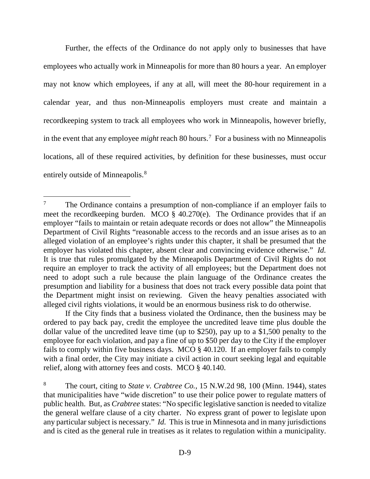Further, the effects of the Ordinance do not apply only to businesses that have employees who actually work in Minneapolis for more than 80 hours a year. An employer may not know which employees, if any at all, will meet the 80-hour requirement in a calendar year, and thus non-Minneapolis employers must create and maintain a recordkeeping system to track all employees who work in Minneapolis, however briefly, in the event that any employee *might* reach 80 hours.[7](#page-32-0) For a business with no Minneapolis locations, all of these required activities, by definition for these businesses, must occur entirely outside of Minneapolis.<sup>[8](#page-32-1)</sup>

If the City finds that a business violated the Ordinance, then the business may be ordered to pay back pay, credit the employee the uncredited leave time plus double the dollar value of the uncredited leave time (up to \$250), pay up to a \$1,500 penalty to the employee for each violation, and pay a fine of up to \$50 per day to the City if the employer fails to comply within five business days. MCO § 40.120. If an employer fails to comply with a final order, the City may initiate a civil action in court seeking legal and equitable relief, along with attorney fees and costs. MCO § 40.140.

<span id="page-32-0"></span><sup>&</sup>lt;sup>7</sup> The Ordinance contains a presumption of non-compliance if an employer fails to meet the recordkeeping burden. MCO  $\frac{2}{3}$  40.270(e). The Ordinance provides that if an employer "fails to maintain or retain adequate records or does not allow" the Minneapolis Department of Civil Rights "reasonable access to the records and an issue arises as to an alleged violation of an employee's rights under this chapter, it shall be presumed that the employer has violated this chapter, absent clear and convincing evidence otherwise." *Id.* It is true that rules promulgated by the Minneapolis Department of Civil Rights do not require an employer to track the activity of all employees; but the Department does not need to adopt such a rule because the plain language of the Ordinance creates the presumption and liability for a business that does not track every possible data point that the Department might insist on reviewing. Given the heavy penalties associated with alleged civil rights violations, it would be an enormous business risk to do otherwise.

<span id="page-32-1"></span><sup>8</sup> The court, citing to *State v. Crabtree Co.*, 15 N.W.2d 98, 100 (Minn. 1944), states that municipalities have "wide discretion" to use their police power to regulate matters of public health. But, as *Crabtree* states: "No specific legislative sanction is needed to vitalize the general welfare clause of a city charter. No express grant of power to legislate upon any particular subject is necessary." *Id.* This is true in Minnesota and in many jurisdictions and is cited as the general rule in treatises as it relates to regulation within a municipality.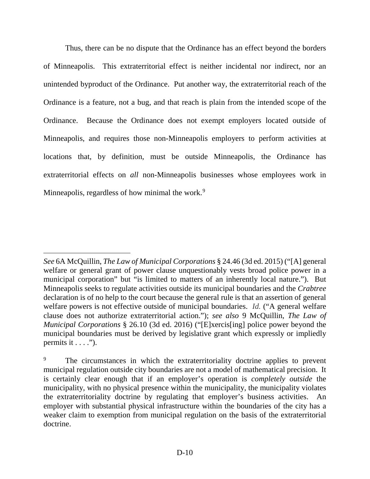Thus, there can be no dispute that the Ordinance has an effect beyond the borders of Minneapolis. This extraterritorial effect is neither incidental nor indirect, nor an unintended byproduct of the Ordinance. Put another way, the extraterritorial reach of the Ordinance is a feature, not a bug, and that reach is plain from the intended scope of the Ordinance. Because the Ordinance does not exempt employers located outside of Minneapolis, and requires those non-Minneapolis employers to perform activities at locations that, by definition, must be outside Minneapolis, the Ordinance has extraterritorial effects on *all* non-Minneapolis businesses whose employees work in Minneapolis, regardless of how minimal the work.<sup>[9](#page-33-0)</sup>

 $\overline{a}$ 

*See* 6A McQuillin, *The Law of Municipal Corporations* § 24.46 (3d ed. 2015) ("[A] general welfare or general grant of power clause unquestionably vests broad police power in a municipal corporation" but "is limited to matters of an inherently local nature."). But Minneapolis seeks to regulate activities outside its municipal boundaries and the *Crabtree*  declaration is of no help to the court because the general rule is that an assertion of general welfare powers is not effective outside of municipal boundaries. *Id.* ("A general welfare clause does not authorize extraterritorial action."); *see also* 9 McQuillin, *The Law of Municipal Corporations* § 26.10 (3d ed. 2016) ("[E]xercis[ing] police power beyond the municipal boundaries must be derived by legislative grant which expressly or impliedly permits it  $\dots$ .").

<span id="page-33-0"></span><sup>&</sup>lt;sup>9</sup> The circumstances in which the extraterritoriality doctrine applies to prevent municipal regulation outside city boundaries are not a model of mathematical precision. It is certainly clear enough that if an employer's operation is *completely outside* the municipality, with no physical presence within the municipality, the municipality violates the extraterritoriality doctrine by regulating that employer's business activities. An employer with substantial physical infrastructure within the boundaries of the city has a weaker claim to exemption from municipal regulation on the basis of the extraterritorial doctrine.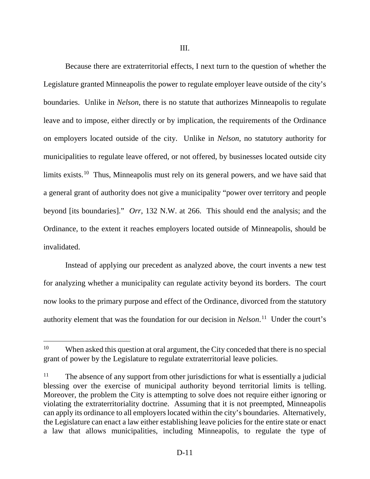Because there are extraterritorial effects, I next turn to the question of whether the Legislature granted Minneapolis the power to regulate employer leave outside of the city's boundaries. Unlike in *Nelson*, there is no statute that authorizes Minneapolis to regulate leave and to impose, either directly or by implication, the requirements of the Ordinance on employers located outside of the city. Unlike in *Nelson*, no statutory authority for municipalities to regulate leave offered, or not offered, by businesses located outside city limits exists.<sup>[10](#page-34-0)</sup> Thus, Minneapolis must rely on its general powers, and we have said that a general grant of authority does not give a municipality "power over territory and people beyond [its boundaries]." *Orr*, 132 N.W. at 266. This should end the analysis; and the Ordinance, to the extent it reaches employers located outside of Minneapolis, should be invalidated.

Instead of applying our precedent as analyzed above, the court invents a new test for analyzing whether a municipality can regulate activity beyond its borders. The court now looks to the primary purpose and effect of the Ordinance, divorced from the statutory authority element that was the foundation for our decision in *Nelson*. [11](#page-34-1) Under the court's

<span id="page-34-0"></span><sup>&</sup>lt;sup>10</sup> When asked this question at oral argument, the City conceded that there is no special grant of power by the Legislature to regulate extraterritorial leave policies.

<span id="page-34-1"></span> $11$  The absence of any support from other jurisdictions for what is essentially a judicial blessing over the exercise of municipal authority beyond territorial limits is telling. Moreover, the problem the City is attempting to solve does not require either ignoring or violating the extraterritoriality doctrine. Assuming that it is not preempted, Minneapolis can apply its ordinance to all employers located within the city's boundaries. Alternatively, the Legislature can enact a law either establishing leave policies for the entire state or enact a law that allows municipalities, including Minneapolis, to regulate the type of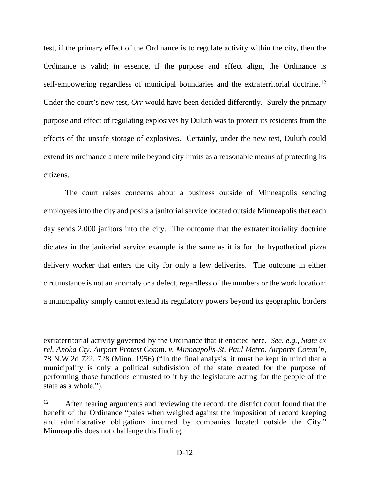test, if the primary effect of the Ordinance is to regulate activity within the city, then the Ordinance is valid; in essence, if the purpose and effect align, the Ordinance is self-empowering regardless of municipal boundaries and the extraterritorial doctrine.<sup>[12](#page-35-0)</sup> Under the court's new test, *Orr* would have been decided differently. Surely the primary purpose and effect of regulating explosives by Duluth was to protect its residents from the effects of the unsafe storage of explosives. Certainly, under the new test, Duluth could extend its ordinance a mere mile beyond city limits as a reasonable means of protecting its citizens.

The court raises concerns about a business outside of Minneapolis sending employees into the city and posits a janitorial service located outside Minneapolis that each day sends 2,000 janitors into the city. The outcome that the extraterritoriality doctrine dictates in the janitorial service example is the same as it is for the hypothetical pizza delivery worker that enters the city for only a few deliveries. The outcome in either circumstance is not an anomaly or a defect, regardless of the numbers or the work location: a municipality simply cannot extend its regulatory powers beyond its geographic borders

 $\overline{a}$ 

extraterritorial activity governed by the Ordinance that it enacted here. *See, e.g.*, *State ex rel. Anoka Cty. Airport Protest Comm. v. Minneapolis-St. Paul Metro. Airports Comm'n*, 78 N.W.2d 722, 728 (Minn. 1956) ("In the final analysis, it must be kept in mind that a municipality is only a political subdivision of the state created for the purpose of performing those functions entrusted to it by the legislature acting for the people of the state as a whole.").

<span id="page-35-0"></span><sup>&</sup>lt;sup>12</sup> After hearing arguments and reviewing the record, the district court found that the benefit of the Ordinance "pales when weighed against the imposition of record keeping and administrative obligations incurred by companies located outside the City." Minneapolis does not challenge this finding.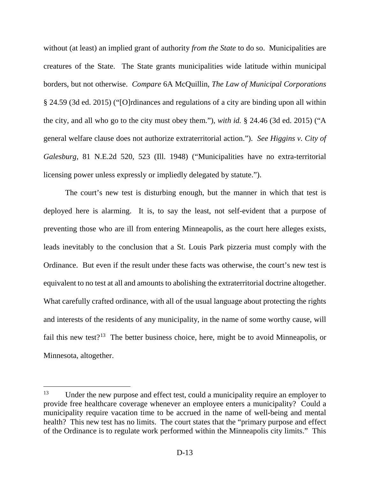without (at least) an implied grant of authority *from the State* to do so. Municipalities are creatures of the State. The State grants municipalities wide latitude within municipal borders, but not otherwise. *Compare* 6A McQuillin, *The Law of Municipal Corporations* § 24.59 (3d ed. 2015) ("[O]rdinances and regulations of a city are binding upon all within the city, and all who go to the city must obey them."), *with id.* § 24.46 (3d ed. 2015) ("A general welfare clause does not authorize extraterritorial action."). *See Higgins v. City of Galesburg*, 81 N.E.2d 520, 523 (Ill. 1948) ("Municipalities have no extra-territorial licensing power unless expressly or impliedly delegated by statute.").

The court's new test is disturbing enough, but the manner in which that test is deployed here is alarming. It is, to say the least, not self-evident that a purpose of preventing those who are ill from entering Minneapolis, as the court here alleges exists, leads inevitably to the conclusion that a St. Louis Park pizzeria must comply with the Ordinance. But even if the result under these facts was otherwise, the court's new test is equivalent to no test at all and amounts to abolishing the extraterritorial doctrine altogether. What carefully crafted ordinance, with all of the usual language about protecting the rights and interests of the residents of any municipality, in the name of some worthy cause, will fail this new test?<sup>13</sup> The better business choice, here, might be to avoid Minneapolis, or Minnesota, altogether.

<span id="page-36-0"></span><sup>&</sup>lt;sup>13</sup> Under the new purpose and effect test, could a municipality require an employer to provide free healthcare coverage whenever an employee enters a municipality? Could a municipality require vacation time to be accrued in the name of well-being and mental health? This new test has no limits. The court states that the "primary purpose and effect of the Ordinance is to regulate work performed within the Minneapolis city limits." This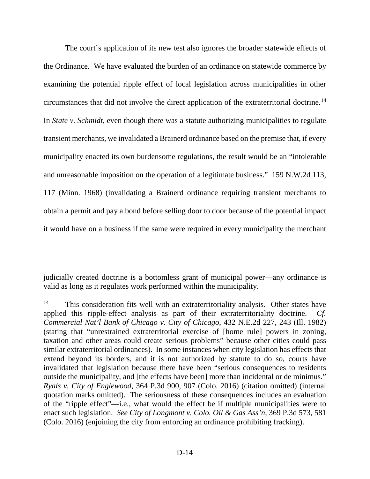The court's application of its new test also ignores the broader statewide effects of the Ordinance. We have evaluated the burden of an ordinance on statewide commerce by examining the potential ripple effect of local legislation across municipalities in other circumstances that did not involve the direct application of the extraterritorial doctrine.[14](#page-37-0) In *State v. Schmidt*, even though there was a statute authorizing municipalities to regulate transient merchants, we invalidated a Brainerd ordinance based on the premise that, if every municipality enacted its own burdensome regulations, the result would be an "intolerable and unreasonable imposition on the operation of a legitimate business." 159 N.W.2d 113, 117 (Minn. 1968) (invalidating a Brainerd ordinance requiring transient merchants to obtain a permit and pay a bond before selling door to door because of the potential impact it would have on a business if the same were required in every municipality the merchant

 $\overline{a}$ 

judicially created doctrine is a bottomless grant of municipal power—any ordinance is valid as long as it regulates work performed within the municipality.

<span id="page-37-0"></span><sup>&</sup>lt;sup>14</sup> This consideration fits well with an extraterritoriality analysis. Other states have applied this ripple-effect analysis as part of their extraterritoriality doctrine. *Cf. Commercial Nat'l Bank of Chicago v. City of Chicago*, 432 N.E.2d 227, 243 (Ill. 1982) (stating that "unrestrained extraterritorial exercise of [home rule] powers in zoning, taxation and other areas could create serious problems" because other cities could pass similar extraterritorial ordinances). In some instances when city legislation has effects that extend beyond its borders, and it is not authorized by statute to do so, courts have invalidated that legislation because there have been "serious consequences to residents outside the municipality, and [the effects have been] more than incidental or de minimus." *Ryals v. City of Englewood*, 364 P.3d 900, 907 (Colo. 2016) (citation omitted) (internal quotation marks omitted). The seriousness of these consequences includes an evaluation of the "ripple effect"—i.e., what would the effect be if multiple municipalities were to enact such legislation. *See City of Longmont v. Colo. Oil & Gas Ass'n*, 369 P.3d 573, 581 (Colo. 2016) (enjoining the city from enforcing an ordinance prohibiting fracking).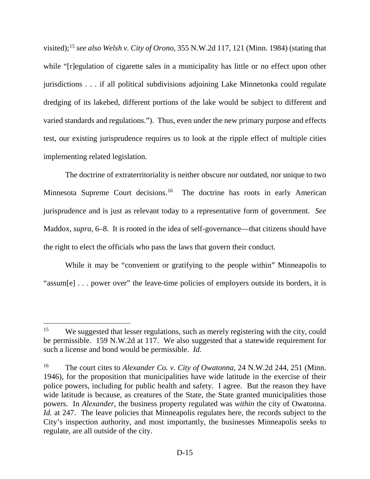visited);[15](#page-38-0) *see also Welsh v. City of Orono*, 355 N.W.2d 117, 121 (Minn. 1984) (stating that while "[r]egulation of cigarette sales in a municipality has little or no effect upon other jurisdictions . . . if all political subdivisions adjoining Lake Minnetonka could regulate dredging of its lakebed, different portions of the lake would be subject to different and varied standards and regulations."). Thus, even under the new primary purpose and effects test, our existing jurisprudence requires us to look at the ripple effect of multiple cities implementing related legislation.

The doctrine of extraterritoriality is neither obscure nor outdated, nor unique to two Minnesota Supreme Court decisions.<sup>[16](#page-38-1)</sup> The doctrine has roots in early American jurisprudence and is just as relevant today to a representative form of government. *See*  Maddox, *supra*, 6–8. It is rooted in the idea of self-governance—that citizens should have the right to elect the officials who pass the laws that govern their conduct.

While it may be "convenient or gratifying to the people within" Minneapolis to "assum[e] . . . power over" the leave-time policies of employers outside its borders, it is

<span id="page-38-0"></span><sup>&</sup>lt;sup>15</sup> We suggested that lesser regulations, such as merely registering with the city, could be permissible. 159 N.W.2d at 117. We also suggested that a statewide requirement for such a license and bond would be permissible. *Id.*

<span id="page-38-1"></span><sup>16</sup> The court cites to *Alexander Co. v. City of Owatonna*, 24 N.W.2d 244, 251 (Minn. 1946), for the proposition that municipalities have wide latitude in the exercise of their police powers, including for public health and safety. I agree. But the reason they have wide latitude is because, as creatures of the State, the State granted municipalities those powers. In *Alexander*, the business property regulated was *within* the city of Owatonna. *Id.* at 247. The leave policies that Minneapolis regulates here, the records subject to the City's inspection authority, and most importantly, the businesses Minneapolis seeks to regulate, are all outside of the city.